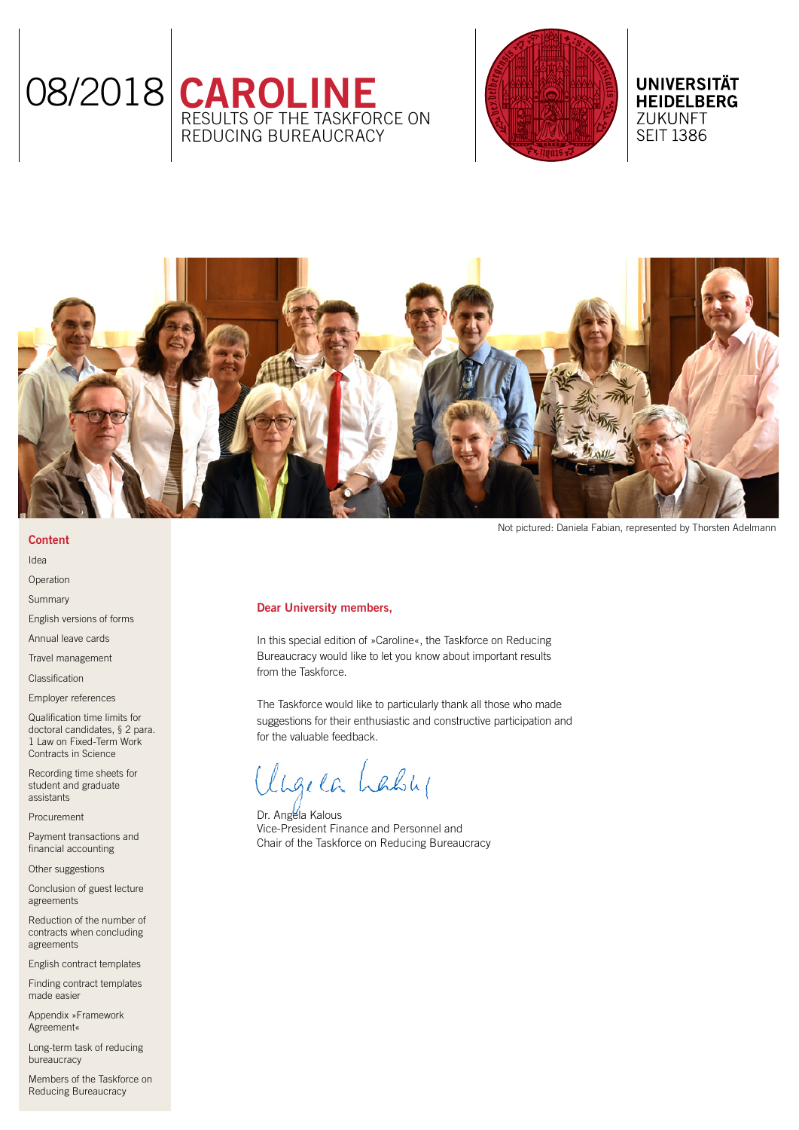



# **UNIVERSITÄT HEIDELBERG** ZUKUNFT **SEIT 1386**



Not pictured: Daniela Fabian, represented by Thorsten Adelmann

# Dear University members,

In this special edition of »Caroline«, the Taskforce on Reducing Bureaucracy would like to let you know about important results from the Taskforce.

The Taskforce would like to particularly thank all those who made suggestions for their enthusiastic and constructive participation and for the valuable feedback.

lige ca Lably

Dr. Angela Kalous Vice-President Finance and Personnel and Chair of the Taskforce on Reducing Bureaucracy

**Content** [Idea](#page-1-0)

[Operation](#page-1-0)

[Summary](#page-1-0)

[English versions of forms](#page-2-0)

[Annual leave cards](#page-2-0)

[Travel management](#page-2-0)

[Classification](#page-3-0)

[Employer references](#page-3-0)

[Qualification time limits for](#page-3-0)  [doctoral candidates, § 2 para.](#page-3-0)  [1 Law on Fixed-Term Work](#page-3-0)  [Contracts in Science](#page-3-0)

[Recording time sheets for](#page-3-0)  [student and graduate](#page-3-0)  [assistants](#page-3-0)

[Procurement](#page-4-0)

[Payment transactions and](#page-4-0)  [financial accounting](#page-4-0)

[Other suggestions](#page-4-0)

[Conclusion of guest lecture](#page-5-0)  [agreements](#page-5-0)

[Reduction of the number of](#page-5-0)  [contracts when concluding](#page-5-0)  [agreements](#page-5-0)

[English contract templates](#page-5-0)

[Finding contract templates](#page-5-0)  [made easier](#page-5-0)

[Appendix »Framework](#page-5-0)  [Agreement«](#page-5-0)

[Long-term task of reducing](#page-6-0)  [bureaucracy](#page-6-0)

[Members of the Taskforce on](#page-6-0)  [Reducing Bureaucracy](#page-6-0)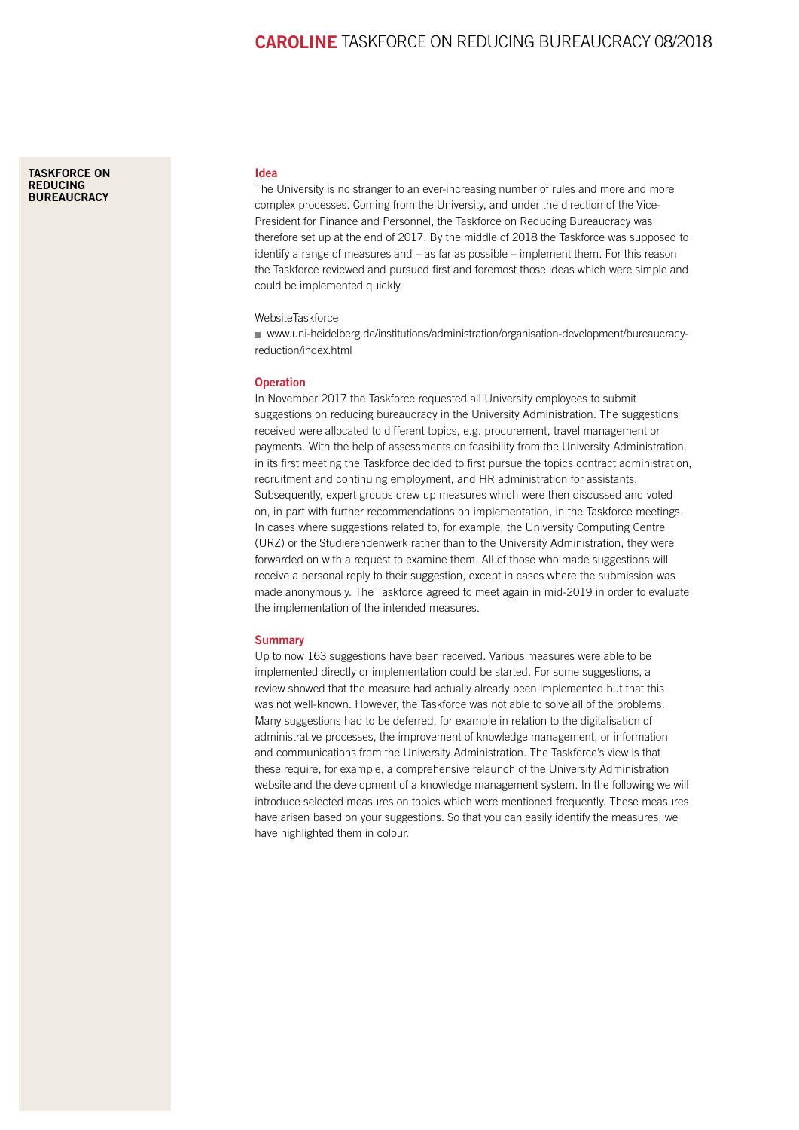<span id="page-1-0"></span>[TASKFORCE ON](https://www.uni-heidelberg.de/institutions/administration/organisation-development/bureaucracy-reduction/index.html)  **REDUCING [BUREAUCRACY](https://www.uni-heidelberg.de/institutions/administration/organisation-development/bureaucracy-reduction/index.html)** 

#### Idea

The University is no stranger to an ever-increasing number of rules and more and more complex processes. Coming from the University, and under the direction of the Vice-President for Finance and Personnel, the Taskforce on Reducing Bureaucracy was therefore set up at the end of 2017. By the middle of 2018 the Taskforce was supposed to identify a range of measures and – as far as possible – implement them. For this reason the Taskforce reviewed and pursued first and foremost those ideas which were simple and could be implemented quickly.

# WebsiteTaskforce

[www.uni-heidelberg.de/institutions/administration/organisation-development/bureaucracy](https://www.uni-heidelberg.de/institutions/administration/organisation-development/bureaucracy-reduction/index.html)[reduction/index.html](https://www.uni-heidelberg.de/institutions/administration/organisation-development/bureaucracy-reduction/index.html)

## **Operation**

In November 2017 the Taskforce requested all University employees to submit suggestions on reducing bureaucracy in the University Administration. The suggestions received were allocated to different topics, e.g. procurement, travel management or payments. With the help of assessments on feasibility from the University Administration, in its first meeting the Taskforce decided to first pursue the topics contract administration, recruitment and continuing employment, and HR administration for assistants. Subsequently, expert groups drew up measures which were then discussed and voted on, in part with further recommendations on implementation, in the Taskforce meetings. In cases where suggestions related to, for example, the University Computing Centre (URZ) or the Studierendenwerk rather than to the University Administration, they were forwarded on with a request to examine them. All of those who made suggestions will receive a personal reply to their suggestion, except in cases where the submission was made anonymously. The Taskforce agreed to meet again in mid-2019 in order to evaluate the implementation of the intended measures.

## **Summary**

Up to now 163 suggestions have been received. Various measures were able to be implemented directly or implementation could be started. For some suggestions, a review showed that the measure had actually already been implemented but that this was not well-known. However, the Taskforce was not able to solve all of the problems. Many suggestions had to be deferred, for example in relation to the digitalisation of administrative processes, the improvement of knowledge management, or information and communications from the University Administration. The Taskforce's view is that these require, for example, a comprehensive relaunch of the University Administration website and the development of a knowledge management system. In the following we will introduce selected measures on topics which were mentioned frequently. These measures have arisen based on your suggestions. So that you can easily identify the measures, we have highlighted them in colour.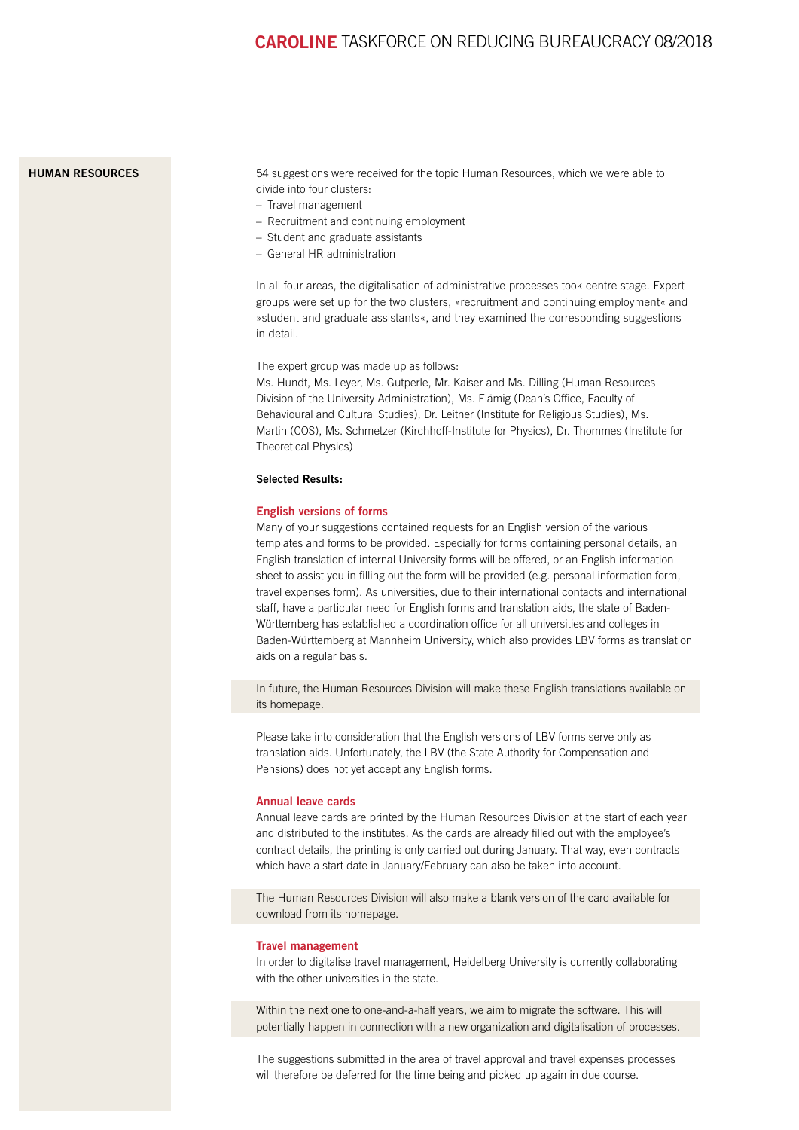# <span id="page-2-0"></span>[HUMAN RESOURCES](https://www.uni-heidelberg.de/institutions/administration/hr/index.html)

54 suggestions were received for the topic Human Resources, which we were able to divide into four clusters:

- Travel management
- Recruitment and continuing employment
- Student and graduate assistants
- General HR administration

In all four areas, the digitalisation of administrative processes took centre stage. Expert groups were set up for the two clusters, »recruitment and continuing employment« and »student and graduate assistants«, and they examined the corresponding suggestions in detail.

The expert group was made up as follows:

Ms. Hundt, Ms. Leyer, Ms. Gutperle, Mr. Kaiser and Ms. Dilling (Human Resources Division of the University Administration), Ms. Flämig (Dean's Office, Faculty of Behavioural and Cultural Studies), Dr. Leitner (Institute for Religious Studies), Ms. Martin (COS), Ms. Schmetzer (Kirchhoff-Institute for Physics), Dr. Thommes (Institute for Theoretical Physics)

# Selected Results:

#### English versions of forms

Many of your suggestions contained requests for an English version of the various templates and forms to be provided. Especially for forms containing personal details, an English translation of internal University forms will be offered, or an English information sheet to assist you in filling out the form will be provided (e.g. personal information form, travel expenses form). As universities, due to their international contacts and international staff, have a particular need for English forms and translation aids, the state of Baden-Württemberg has established a coordination office for all universities and colleges in Baden-Württemberg at Mannheim University, which also provides LBV forms as translation aids on a regular basis.

In future, the Human Resources Division will make these English translations available on its homepage.

Please take into consideration that the English versions of LBV forms serve only as translation aids. Unfortunately, the LBV (the State Authority for Compensation and Pensions) does not yet accept any English forms.

#### Annual leave cards

Annual leave cards are printed by the Human Resources Division at the start of each year and distributed to the institutes. As the cards are already filled out with the employee's contract details, the printing is only carried out during January. That way, even contracts which have a start date in January/February can also be taken into account.

The Human Resources Division will also make a blank version of the card available for download from its homepage.

#### Travel management

In order to digitalise travel management, Heidelberg University is currently collaborating with the other universities in the state.

Within the next one to one-and-a-half years, we aim to migrate the software. This will potentially happen in connection with a new organization and digitalisation of processes.

The suggestions submitted in the area of travel approval and travel expenses processes will therefore be deferred for the time being and picked up again in due course.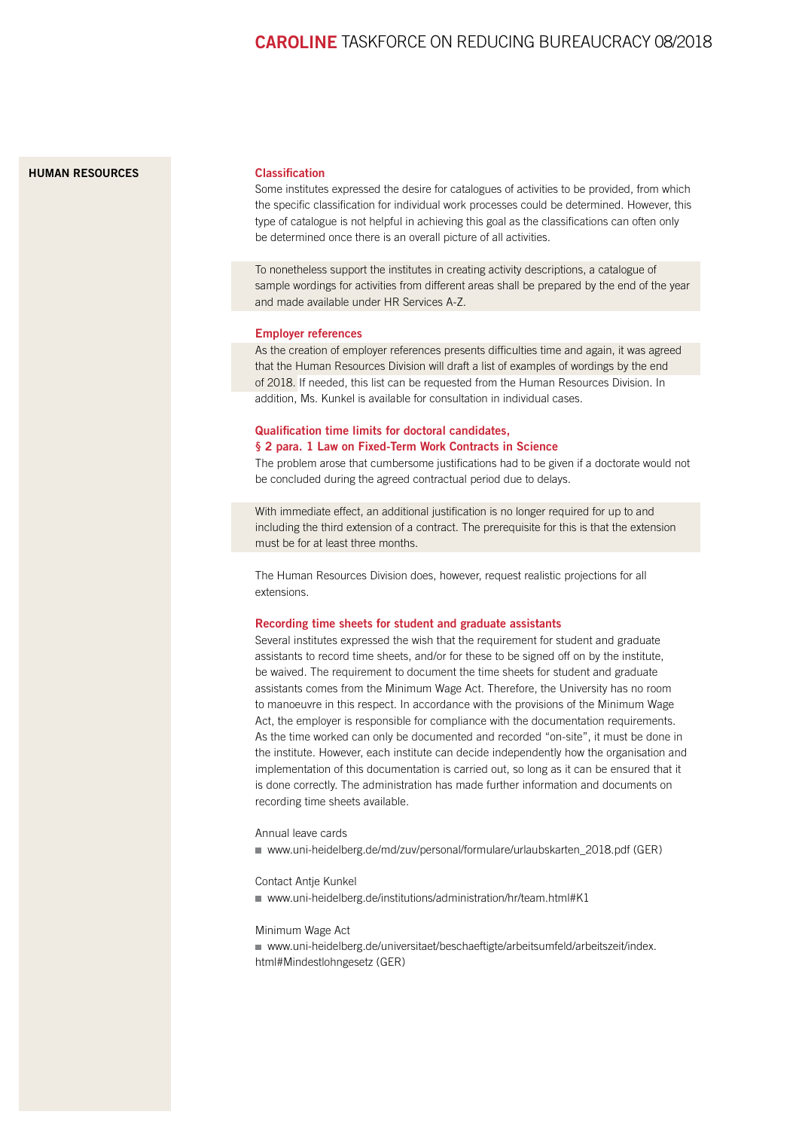# <span id="page-3-0"></span>**[HUMAN RESOURCES](https://www.uni-heidelberg.de/institutions/administration/hr/index.html)** Classification

Some institutes expressed the desire for catalogues of activities to be provided, from which the specific classification for individual work processes could be determined. However, this type of catalogue is not helpful in achieving this goal as the classifications can often only be determined once there is an overall picture of all activities.

To nonetheless support the institutes in creating activity descriptions, a catalogue of sample wordings for activities from different areas shall be prepared by the end of the year and made available under HR Services A-Z.

#### Employer references

As the creation of employer references presents difficulties time and again, it was agreed that the Human Resources Division will draft a list of examples of wordings by the end of 2018. If needed, this list can be requested from the Human Resources Division. In addition, Ms. Kunkel is available for consultation in individual cases.

# Qualification time limits for doctoral candidates, § 2 para. 1 Law on Fixed-Term Work Contracts in Science

The problem arose that cumbersome justifications had to be given if a doctorate would not be concluded during the agreed contractual period due to delays.

With immediate effect, an additional justification is no longer required for up to and including the third extension of a contract. The prerequisite for this is that the extension must be for at least three months.

The Human Resources Division does, however, request realistic projections for all extensions.

#### Recording time sheets for student and graduate assistants

Several institutes expressed the wish that the requirement for student and graduate assistants to record time sheets, and/or for these to be signed off on by the institute, be waived. The requirement to document the time sheets for student and graduate assistants comes from the Minimum Wage Act. Therefore, the University has no room to manoeuvre in this respect. In accordance with the provisions of the Minimum Wage Act, the employer is responsible for compliance with the documentation requirements. As the time worked can only be documented and recorded "on-site", it must be done in the institute. However, each institute can decide independently how the organisation and implementation of this documentation is carried out, so long as it can be ensured that it is done correctly. The administration has made further information and documents on recording time sheets available.

# Annual leave cards

■ [www.uni-heidelberg.de/md/zuv/personal/formulare/urlaubskarten\\_2018.pdf](https://www.uni-heidelberg.de/md/zuv/personal/formulare/urlaubskarten_2018.pdf) (GER)

#### Contact Antje Kunkel

[www.uni-heidelberg.de/institutions/administration/hr/team.html#K1](https://www.uni-heidelberg.de/institutions/administration/hr/team.html#K1)

## Minimum Wage Act

[www.uni-heidelberg.de/universitaet/beschaeftigte/arbeitsumfeld/arbeitszeit/index.](https://www.uni-heidelberg.de/universitaet/beschaeftigte/arbeitsumfeld/arbeitszeit/index.html#Mindestlohngesetz) [html#Mindestlohngesetz](https://www.uni-heidelberg.de/universitaet/beschaeftigte/arbeitsumfeld/arbeitszeit/index.html#Mindestlohngesetz) (GER)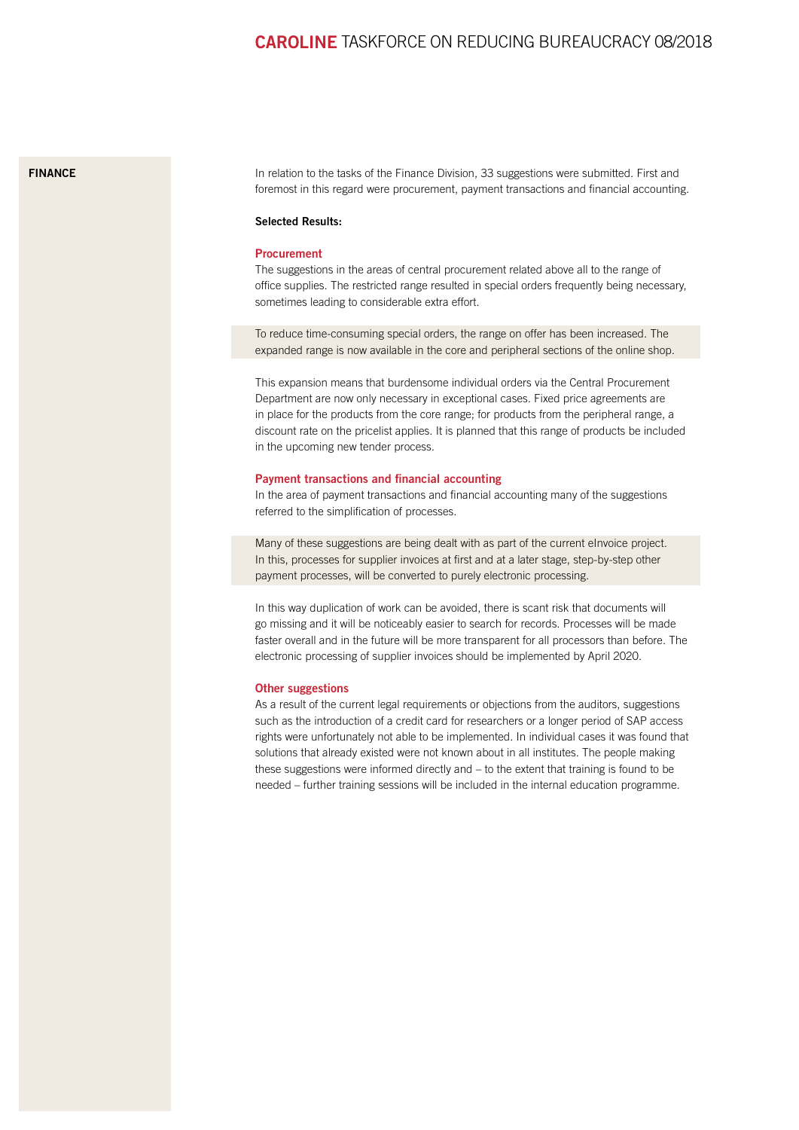## <span id="page-4-0"></span>[FINANCE](https://www.uni-heidelberg.de/institutions/administration/finance/)

In relation to the tasks of the Finance Division, 33 suggestions were submitted. First and foremost in this regard were procurement, payment transactions and financial accounting.

#### Selected Results:

## Procurement

The suggestions in the areas of central procurement related above all to the range of office supplies. The restricted range resulted in special orders frequently being necessary, sometimes leading to considerable extra effort.

To reduce time-consuming special orders, the range on offer has been increased. The expanded range is now available in the core and peripheral sections of the online shop.

This expansion means that burdensome individual orders via the Central Procurement Department are now only necessary in exceptional cases. Fixed price agreements are in place for the products from the core range; for products from the peripheral range, a discount rate on the pricelist applies. It is planned that this range of products be included in the upcoming new tender process.

## Payment transactions and financial accounting

In the area of payment transactions and financial accounting many of the suggestions referred to the simplification of processes.

Many of these suggestions are being dealt with as part of the current eInvoice project. In this, processes for supplier invoices at first and at a later stage, step-by-step other payment processes, will be converted to purely electronic processing.

In this way duplication of work can be avoided, there is scant risk that documents will go missing and it will be noticeably easier to search for records. Processes will be made faster overall and in the future will be more transparent for all processors than before. The electronic processing of supplier invoices should be implemented by April 2020.

#### **Other suggestions**

As a result of the current legal requirements or objections from the auditors, suggestions such as the introduction of a credit card for researchers or a longer period of SAP access rights were unfortunately not able to be implemented. In individual cases it was found that solutions that already existed were not known about in all institutes. The people making these suggestions were informed directly and – to the extent that training is found to be needed – further training sessions will be included in the internal education programme.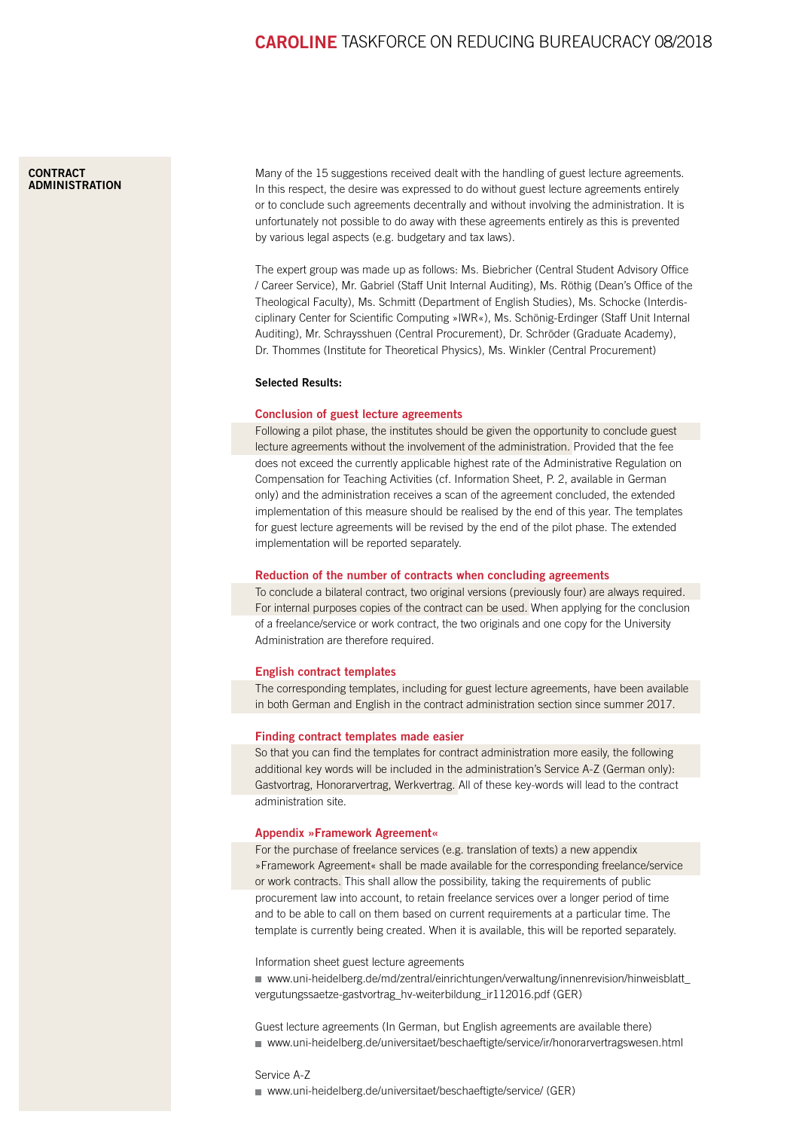#### <span id="page-5-0"></span>**CONTRACT [ADMINISTRATION](https://www.uni-heidelberg.de/institutions/administration/internal_audit/index.html)**

Many of the 15 suggestions received dealt with the handling of guest lecture agreements. In this respect, the desire was expressed to do without guest lecture agreements entirely or to conclude such agreements decentrally and without involving the administration. It is unfortunately not possible to do away with these agreements entirely as this is prevented by various legal aspects (e.g. budgetary and tax laws).

The expert group was made up as follows: Ms. Biebricher (Central Student Advisory Office / Career Service), Mr. Gabriel (Staff Unit Internal Auditing), Ms. Röthig (Dean's Office of the Theological Faculty), Ms. Schmitt (Department of English Studies), Ms. Schocke (Interdisciplinary Center for Scientific Computing »IWR«), Ms. Schönig-Erdinger (Staff Unit Internal Auditing), Mr. Schraysshuen (Central Procurement), Dr. Schröder (Graduate Academy), Dr. Thommes (Institute for Theoretical Physics), Ms. Winkler (Central Procurement)

## Selected Results:

## Conclusion of guest lecture agreements

Following a pilot phase, the institutes should be given the opportunity to conclude guest lecture agreements without the involvement of the administration. Provided that the fee does not exceed the currently applicable highest rate of the Administrative Regulation on Compensation for Teaching Activities (cf. Information Sheet, P. 2, available in German only) and the administration receives a scan of the agreement concluded, the extended implementation of this measure should be realised by the end of this year. The templates for guest lecture agreements will be revised by the end of the pilot phase. The extended implementation will be reported separately.

#### Reduction of the number of contracts when concluding agreements

To conclude a bilateral contract, two original versions (previously four) are always required. For internal purposes copies of the contract can be used. When applying for the conclusion of a freelance/service or work contract, the two originals and one copy for the University Administration are therefore required.

#### English contract templates

The corresponding templates, including for guest lecture agreements, have been available in both German and English in the contract administration section since summer 2017.

#### Finding contract templates made easier

So that you can find the templates for contract administration more easily, the following additional key words will be included in the administration's Service A-Z (German only): Gastvortrag, Honorarvertrag, Werkvertrag. All of these key-words will lead to the contract administration site.

#### Appendix »Framework Agreement«

For the purchase of freelance services (e.g. translation of texts) a new appendix »Framework Agreement« shall be made available for the corresponding freelance/service or work contracts. This shall allow the possibility, taking the requirements of public procurement law into account, to retain freelance services over a longer period of time and to be able to call on them based on current requirements at a particular time. The template is currently being created. When it is available, this will be reported separately.

Information sheet guest lecture agreements

[www.uni-heidelberg.de/md/zentral/einrichtungen/verwaltung/innenrevision/hinweisblatt\\_](https://www.uni-heidelberg.de/md/zentral/einrichtungen/verwaltung/innenrevision/hinweisblatt_vergutungssaetze-gastvortrag_hv-weiterbildung_ir112016.pdf) [vergutungssaetze-gastvortrag\\_hv-weiterbildung\\_ir112016.pdf](https://www.uni-heidelberg.de/md/zentral/einrichtungen/verwaltung/innenrevision/hinweisblatt_vergutungssaetze-gastvortrag_hv-weiterbildung_ir112016.pdf) (GER)

Guest lecture agreements (In German, but English agreements are available there) [www.uni-heidelberg.de/universitaet/beschaeftigte/service/ir/honorarvertragswesen.html](https://www.uni-heidelberg.de/universitaet/beschaeftigte/service/ir/honorarvertragswesen.html)

#### Service A-Z

[www.uni-heidelberg.de/universitaet/beschaeftigte/service/](https://www.uni-heidelberg.de/universitaet/beschaeftigte/service/) (GER)